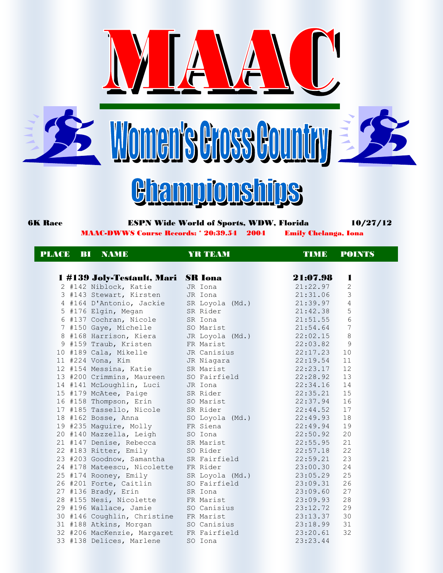







 6K Race ESPN Wide World of Sports, WDW, Florida 10/27/12 MAAC-DWWS Course Records: \* 20:39.54 2004 Emily Chelanga, Iona

## PLACE BI NAME YRTEAM TIME POINTS

| 1 #139 Joly-Testault, Mari SR Iona              |                          | 21:07.98<br>ш               |
|-------------------------------------------------|--------------------------|-----------------------------|
| 2 #142 Niblock, Katie   JR Iona                 |                          | 21:22.97<br>2               |
| 3 #143 Stewart, Kirsten JR Iona                 |                          | 3<br>21:31.06               |
| 4 #164 D'Antonio, Jackie                        | SR Loyola (Md.) 21:39.97 | 4                           |
| 5 #176 Elgin, Megan                             | SR Rider                 | 21:42.38<br>5               |
| 6 #137 Cochran, Nicole                          | SR Iona                  | $6\phantom{.}6$<br>21:51.55 |
| 7 #150 Gaye, Michelle SO Marist                 |                          | $7\phantom{.0}$<br>21:54.64 |
| 8 #168 Harrison, Kiera JR Loyola (Md.) 22:02.15 |                          | 8                           |
| 9 #159 Traub, Kristen FR Marist                 |                          | 22:03.82<br>9               |
| 10 #189 Cala, Mikelle JR Canisius               |                          | 22:17.23<br>10              |
| $11$ #224 Vona, Kim                             | JR Niagara               | 11<br>22:19.54              |
| 12 #154 Messina, Katie                          | SR Marist                | 12<br>22:23.17              |
| 13 #200 Crimmins, Maureen SO Fairfield          |                          | 22:28.92<br>13              |
| 14 #141 McLoughlin, Luci JR Iona                |                          | 14<br>22:34.16              |
| 15 #179 McAtee, Paige SR Rider                  |                          | 22:35.21 15                 |
| 16 #158 Thompson, Erin SO Marist                |                          | 22:37.94<br>16              |
| 17 #185 Tassello, Nicole SR Rider               |                          | 22:44.52<br>17              |
|                                                 |                          | 18                          |
| 19 #235 Maguire, Molly FR Siena                 |                          | 22:49.94<br>19              |
| 20 #140 Mazzella, Leigh                         | SO Iona                  | 22:50.92<br>20              |
| 21 #147 Denise, Rebecca SR Marist               |                          | 22:55.95<br>21              |
| 22 #183 Ritter, Emily SO Rider                  |                          | 22<br>22:57.18              |
| 23 #203 Goodnow, Samantha SR Fairfield          |                          | 22:59.21 23                 |
| 24 #178 Mateescu, Nicolette FR Rider            |                          | 23:00.30<br>24              |
| 25 #174 Rooney, Emily SR Loyola (Md.) 23:05.29  |                          | 25                          |
| 26 #201 Forte, Caitlin SO Fairfield 23:09.31    |                          | 26                          |
| 27 #136 Brady, Erin                             | SR Iona                  | 27<br>23:09.60              |
| 28 #155 Nesi, Nicolette FR Marist               |                          | 28<br>23:09.93              |
| 29 #196 Wallace, Jamie SO Canisius              |                          | 29<br>23:12.72              |
| 30 #146 Coughlin, Christine FR Marist           |                          | 23:13.37 30                 |
| 31 #188 Atkins, Morgan SO Canisius              |                          | 23:18.99 31                 |
| 32 #206 MacKenzie, Margaret                     | FR Fairfield             | 32<br>23:20.61              |

33 #138 Delices, Marlene SO Iona 23:23.44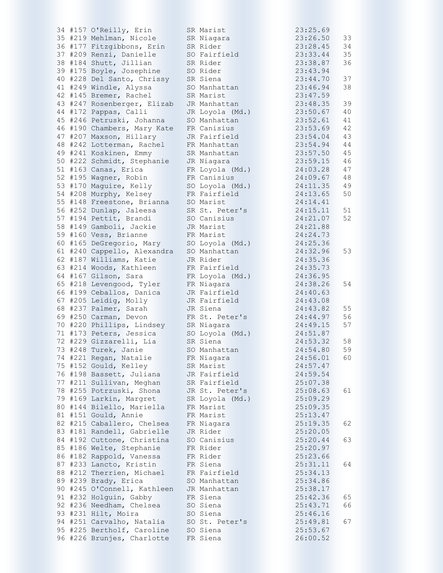|  | 34 #157 O'Reilly, Erin      | SR Marist       | 23:25.69 |    |
|--|-----------------------------|-----------------|----------|----|
|  | 35 #219 Mehlman, Nicole     | SR Niagara      | 23:26.50 | 33 |
|  | 36 #177 Fitzgibbons, Erin   | SR Rider        | 23:28.45 | 34 |
|  | 37 #209 Renzi, Danielle     | SO Fairfield    | 23:33.44 | 35 |
|  | 38 #184 Shutt, Jillian      | SR Rider        | 23:38.87 | 36 |
|  | 39 #175 Boyle, Josephine    | SO Rider        | 23:43.94 |    |
|  | 40 #228 Del Santo, Chrissy  | SR Siena        | 23:44.70 | 37 |
|  | 41 #249 Windle, Alyssa      | SO Manhattan    | 23:46.94 | 38 |
|  | 42 #145 Bremer, Rachel      | SR Marist       | 23:47.59 |    |
|  | 43 #247 Rosenberger, Elizab | JR Manhattan    | 23:48.35 | 39 |
|  | 44 #172 Pappas, Calli       | JR Loyola (Md.) | 23:50.67 | 40 |
|  | 45 #246 Petruski, Johanna   | SO Manhattan    | 23:52.61 | 41 |
|  | 46 #190 Chambers, Mary Kate | FR Canisius     | 23:53.69 | 42 |
|  |                             |                 |          |    |
|  | 47 #207 Maxson, Hillary     | JR Fairfield    | 23:54.04 | 43 |
|  | 48 #242 Lotterman, Rachel   | FR Manhattan    | 23:54.94 | 44 |
|  | 49 #241 Koskinen, Emmy      | SR Manhattan    | 23:57.50 | 45 |
|  | 50 #222 Schmidt, Stephanie  | JR Niagara      | 23:59.15 | 46 |
|  | 51 #163 Canas, Erica        | FR Loyola (Md.) | 24:03.28 | 47 |
|  | 52 #195 Wagner, Robin       | FR Canisius     | 24:09.67 | 48 |
|  | 53 #170 Maguire, Kelly      | SO Loyola (Md.) | 24:11.35 | 49 |
|  | 54 #208 Murphy, Kelsey      | FR Fairfield    | 24:13.65 | 50 |
|  | 55 #148 Freestone, Brianna  | SO Marist       | 24:14.41 |    |
|  | 56 #252 Dunlap, Jaleesa     | SR St. Peter's  | 24:15.11 | 51 |
|  | 57 #194 Pettit, Brandi      | SO Canisius     | 24:21.07 | 52 |
|  | 58 #149 Gamboli, Jackie     | JR Marist       | 24:21.88 |    |
|  | 59 #160 Vess, Brianne       | FR Marist       | 24:24.73 |    |
|  | 60 #165 DeGregorio, Mary    | SO Loyola (Md.) | 24:25.36 |    |
|  | 61 #240 Cappello, Alexandra | SO Manhattan    | 24:32.96 | 53 |
|  | 62 #187 Williams, Katie     | JR Rider        | 24:35.36 |    |
|  | 63 #214 Woods, Kathleen     | FR Fairfield    | 24:35.73 |    |
|  | 64 #167 Gilson, Sara        | FR Loyola (Md.) | 24:36.95 |    |
|  | 65 #218 Levengood, Tyler    |                 | 24:38.26 | 54 |
|  |                             | FR Niagara      |          |    |
|  | 66 #199 Ceballos, Danica    | JR Fairfield    | 24:40.63 |    |
|  | 67 #205 Leidig, Molly       | JR Fairfield    | 24:43.08 |    |
|  | 68 #237 Palmer, Sarah       | JR Siena        | 24:43.82 | 55 |
|  | 69 #250 Carman, Devon       | FR St. Peter's  | 24:44.97 | 56 |
|  | 70 #220 Phillips, Lindsey   | SR Niagara      | 24:49.15 | 57 |
|  | 71 #173 Peters, Jessica     | SO Loyola (Md.) | 24:51.87 |    |
|  | 72 #229 Gizzarelli, Lia     | SR Siena        | 24:53.32 | 58 |
|  | 73 #248 Turek, Janie        | SO Manhattan    | 24:54.80 | 59 |
|  | 74 #221 Regan, Natalie      | FR Niagara      | 24:56.01 | 60 |
|  | 75 #152 Gould, Kelley       | SR Marist       | 24:57.47 |    |
|  | 76 #198 Bassett, Juliana    | JR Fairfield    | 24:59.54 |    |
|  | 77 #211 Sullivan, Meghan    | SR Fairfield    | 25:07.38 |    |
|  | 78 #255 Potrzuski, Shona    | JR St. Peter's  | 25:08.63 | 61 |
|  | 79 #169 Larkin, Margret     | SR Loyola (Md.) | 25:09.29 |    |
|  | 80 #144 Bilello, Mariella   | FR Marist       | 25:09.35 |    |
|  | 81 #151 Gould, Annie        | FR Marist       | 25:13.47 |    |
|  | 82 #215 Caballero, Chelsea  | FR Niagara      | 25:19.35 | 62 |
|  | 83 #181 Randell, Gabrielle  | JR Rider        | 25:20.05 |    |
|  | 84 #192 Cuttone, Christina  | SO Canisius     | 25:20.44 | 63 |
|  | 85 #186 Welte, Stephanie    | FR Rider        | 25:20.97 |    |
|  | 86 #182 Rappold, Vanessa    | FR Rider        | 25:23.66 |    |
|  | 87 #233 Lancto, Kristin     | FR Siena        | 25:31.11 | 64 |
|  | 88 #212 Therrien, Michael   | FR Fairfield    | 25:34.13 |    |
|  | 89 #239 Brady, Erica        | SO Manhattan    | 25:34.86 |    |
|  |                             |                 |          |    |
|  | 90 #245 O'Connell, Kathleen | JR Manhattan    | 25:38.17 |    |
|  | 91 #232 Holguin, Gabby      | FR Siena        | 25:42.36 | 65 |
|  | 92 #236 Needham, Chelsea    | SO Siena        | 25:43.71 | 66 |
|  | 93 #231 Hilt, Moira         | SO Siena        | 25:46.16 |    |
|  | 94 #251 Carvalho, Natalia   | SO St. Peter's  | 25:49.81 | 67 |
|  | 95 #225 Bertholf, Caroline  | SO Siena        | 25:53.67 |    |
|  | 96 #226 Brunjes, Charlotte  | FR Siena        | 26:00.52 |    |